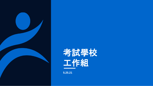



**5.25.21**